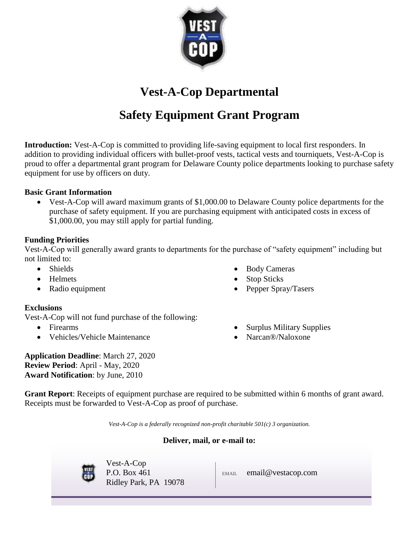

**Vest-A-Cop Departmental**

# **Safety Equipment Grant Program**

**Introduction:** Vest-A-Cop is committed to providing life-saving equipment to local first responders. In addition to providing individual officers with bullet-proof vests, tactical vests and tourniquets, Vest-A-Cop is proud to offer a departmental grant program for Delaware County police departments looking to purchase safety equipment for use by officers on duty.

# **Basic Grant Information**

 Vest-A-Cop will award maximum grants of \$1,000.00 to Delaware County police departments for the purchase of safety equipment. If you are purchasing equipment with anticipated costs in excess of \$1,000.00, you may still apply for partial funding.

# **Funding Priorities**

Vest-A-Cop will generally award grants to departments for the purchase of "safety equipment" including but not limited to:

- Shields
- Helmets
- Radio equipment

# **Exclusions**

Vest-A-Cop will not fund purchase of the following:

- Firearms
- Vehicles/Vehicle Maintenance
- Body Cameras Stop Sticks
- Pepper Spray/Tasers
- Surplus Military Supplies
- Narcan®/Naloxone

**Application Deadline**: March 27, 2020 **Review Period**: April - May, 2020 **Award Notification**: by June, 2010

**Grant Report**: Receipts of equipment purchase are required to be submitted within 6 months of grant award. Receipts must be forwarded to Vest-A-Cop as proof of purchase.

*Vest-A-Cop is a federally recognized non-profit charitable 501(c) 3 organization.*

# **Deliver, mail, or e-mail to:**



Vest-A-Cop P.O. Box 461 Ridley Park, PA 19078

EMAIL email@vestacop.com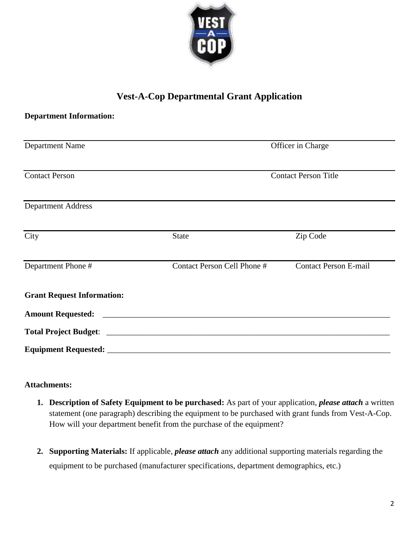

# **Vest-A-Cop Departmental Grant Application**

| <b>Department Information:</b>    |                             |                              |
|-----------------------------------|-----------------------------|------------------------------|
| <b>Department Name</b>            | Officer in Charge           |                              |
| <b>Contact Person</b>             | <b>Contact Person Title</b> |                              |
| <b>Department Address</b>         |                             |                              |
| City                              | <b>State</b>                | Zip Code                     |
| Department Phone #                | Contact Person Cell Phone # | <b>Contact Person E-mail</b> |
| <b>Grant Request Information:</b> |                             |                              |
| <b>Amount Requested:</b>          |                             |                              |
|                                   |                             |                              |
|                                   |                             |                              |

# **Attachments:**

- **1. Description of Safety Equipment to be purchased:** As part of your application, *please attach* a written statement (one paragraph) describing the equipment to be purchased with grant funds from Vest-A-Cop. How will your department benefit from the purchase of the equipment?
- **2. Supporting Materials:** If applicable, *please attach* any additional supporting materials regarding the equipment to be purchased (manufacturer specifications, department demographics, etc.)